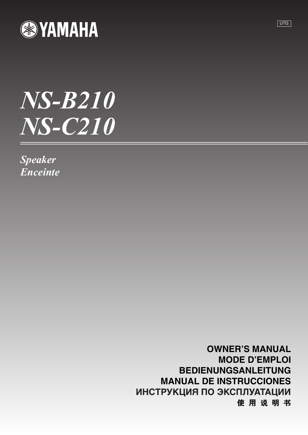

# *NS-B210 NS-C210*

*Speaker Enceinte*

> **OWNER'S MANUAL MODE D'EMPLOI BEDIENUNGSANLEITUNG MANUAL DE INSTRUCCIONES**ИНСТРУКЦИЯ ПО ЭКСПЛУАТАЦИИ 使用说明书

UTG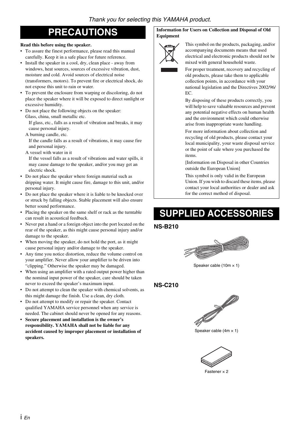#### **Read this before using the speaker.**

- To assure the finest performance, please read this manual carefully. Keep it in a safe place for future reference.
- Install the speaker in a cool, dry, clean place away from windows, heat sources, sources of excessive vibration, dust, moisture and cold. Avoid sources of electrical noise (transformers, motors). To prevent fire or electrical shock, do not expose this unit to rain or water.
- To prevent the enclosure from warping or discoloring, do not place the speaker where it will be exposed to direct sunlight or excessive humidity.
- Do not place the following objects on the speaker: Glass, china, small metallic etc.

If glass, etc., falls as a result of vibration and breaks, it may cause personal injury.

A burning candle, etc.

If the candle falls as a result of vibrations, it may cause fire and personal injury.

A vessel with water in it

If the vessel falls as a result of vibrations and water spills, it may cause damage to the speaker, and/or you may get an electric shock.

- Do not place the speaker where foreign material such as dripping water. It might cause fire, damage to this unit, and/or personal injury.
- Do not place the speaker where it is liable to be knocked over or struck by falling objects. Stable placement will also ensure better sound performance.
- Placing the speaker on the same shelf or rack as the turntable can result in acoustical feedback.
- Never put a hand or a foreign object into the port located on the rear of the speaker, as this might cause personal injury and/or damage to the speaker.
- When moving the speaker, do not hold the port, as it might cause personal injury and/or damage to the speaker.
- Any time you notice distortion, reduce the volume control on your amplifier. Never allow your amplifier to be driven into "clipping." Otherwise the speaker may be damaged.
- When using an amplifier with a rated output power higher than the nominal input power of the speaker, care should be taken never to exceed the speaker's maximum input.
- Do not attempt to clean the speaker with chemical solvents, as this might damage the finish. Use a clean, dry cloth.
- Do not attempt to modify or repair the speaker. Contact qualified YAMAHA service personnel when any service is needed. The cabinet should never be opened for any reasons.
- **Secure placement and installation is the owner's responsibility. YAMAHA shall not be liable for any accident caused by improper placement or installation of speakers.**

#### **PRECAUTIONS Information for Users on Collection and Disposal of Old Equipment**



This symbol on the products, packaging, and/or accompanying documents means that used electrical and electronic products should not be mixed with general household waste.

For proper treatment, recovery and recycling of old products, please take them to applicable collection points, in accordance with your national legislation and the Directives 2002/96/ EC.

By disposing of these products correctly, you will help to save valuable resources and prevent any potential negative effects on human health and the environment which could otherwise arise from inappropriate waste handling.

For more information about collection and recycling of old products, please contact your local municipality, your waste disposal service or the point of sale where you purchased the items.

[Information on Disposal in other Countries outside the European Union]

This symbol is only valid in the European Union. If you wish to discard these items, please contact your local authorities or dealer and ask for the correct method of disposal.

## **SUPPLIED ACCESSORIES**

#### **NS-B210**



Speaker cable  $(10m \times 1)$ 

#### **NS-C210**



Speaker cable  $(4m \times 1)$ 



Fastener  $\times$  2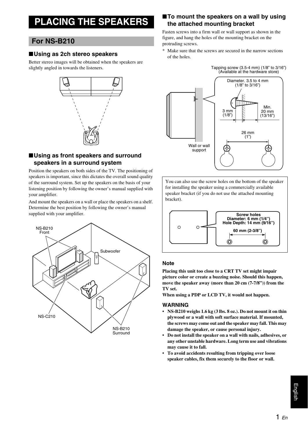## **PLACING THE SPEAKERS**

#### **For NS-B210**

#### ■**Using as 2ch stereo speakers**

Better stereo images will be obtained when the speakers are slightly angled in towards the listeners.



#### ■**Using as front speakers and surround speakers in a surround system**

Position the speakers on both sides of the TV. The positioning of speakers is important, since this dictates the overall sound quality of the surround system. Set up the speakers on the basis of your listening position by following the owner's manual supplied with your amplifier.

And mount the speakers on a wall or place the speakers on a shelf. Determine the best position by following the owner's manual supplied with your amplifier.



#### ■**To mount the speakers on a wall by using the attached mounting bracket**

Fasten screws into a firm wall or wall support as shown in the figure, and hang the holes of the mounting bracket on the protruding screws.

\* Make sure that the screws are secured in the narrow sections of the holes.

> Tapping screw (3.5-4 mm) (1/8" to 3/16") (Available at the hardware store)



You can also use the screw holes on the bottom of the speaker for installing the speaker using a commercially available speaker bracket (if you do not use the attached mounting bracket).



#### **Note**

**Placing this unit too close to a CRT TV set might impair picture color or create a buzzing noise. Should this happen, move the speaker away (more than 20 cm (7-7/8")) from the TV set.**

**When using a PDP or LCD TV, it would not happen.**

#### **WARNING**

- **NS-B210 weighs 1.6 kg (3 lbs. 8 oz.). Do not mount it on thin plywood or a wall with soft surface material. If mounted, the screws may come out and the speaker may fall. This may damage the speaker, or cause personal injury.**
- **Do not install the speaker on a wall with nails, adhesives, or any other unstable hardware. Long term use and vibrations may cause it to fall.**
- **To avoid accidents resulting from tripping over loose speaker cables, fix them securely to the floor or wall.**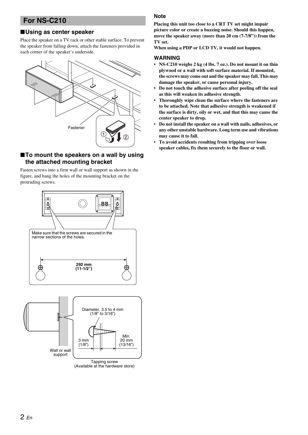### **For NS-C210**

#### ■**Using as center speaker**

Place the speaker on a TV rack or other stable surface. To prevent the speaker from falling down, attach the fasteners provided in each corner of the speaker's underside.



#### ■**To mount the speakers on a wall by using the attached mounting bracket**

Fasten screws into a firm wall or wall support as shown in the figure, and hang the holes of the mounting bracket on the protruding screws.



#### **Note**

**Placing this unit too close to a CRT TV set might impair picture color or create a buzzing noise. Should this happen, move the speaker away (more than 20 cm (7-7/8")) from the TV set.**

**When using a PDP or LCD TV, it would not happen.**

#### **WARNING**

- **NS-C210 weighs 2 kg (4 lbs. 7 oz.). Do not mount it on thin plywood or a wall with soft surface material. If mounted, the screws may come out and the speaker may fall. This may damage the speaker, or cause personal injury.**
- **Do not touch the adhesive surface after peeling off the seal as this will weaken its adhesive strength.**
- **Thoroughly wipe clean the surface where the fasteners are to be attached. Note that adhesive strength is weakened if the surface is dirty, oily or wet, and that this may cause the center speaker to drop.**
- **Do not install the speaker on a wall with nails, adhesives, or any other unstable hardware. Long term use and vibrations may cause it to fall.**
- **To avoid accidents resulting from tripping over loose speaker cables, fix them securely to the floor or wall.**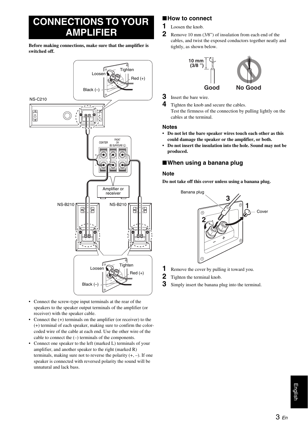## **CONNECTIONS TO YOUR AMPLIFIER**

**Before making connections, make sure that the amplifier is switched off.**



- Connect the screw-type input terminals at the rear of the speakers to the speaker output terminals of the amplifier (or receiver) with the speaker cable.
- Connect the (+) terminals on the amplifier (or receiver) to the (+) terminal of each speaker, making sure to confirm the colorcoded wire of the cable at each end. Use the other wire of the cable to connect the (–) terminals of the components.
- Connect one speaker to the left (marked L) terminals of your amplifier, and another speaker to the right (marked R) terminals, making sure not to reverse the polarity  $(+, -)$ . If one speaker is connected with reversed polarity the sound will be unnatural and lack bass.

#### ■**How to connect**

- **1** Loosen the knob.
- **2** Remove 10 mm (3/8") of insulation from each end of the cables, and twist the exposed conductors together neatly and tightly, as shown below.





**3** Insert the bare wire.

#### **Notes**

- **Do not let the bare speaker wires touch each other as this could damage the speaker or the amplifier, or both.**
- **Do not insert the insulation into the hole. Sound may not be produced.**

#### ■**When using a banana plug**

#### **Note**

**Do not take off this cover unless using a banana plug.**



- **1** Remove the cover by pulling it toward you.
- **2** Tighten the terminal knob.
- **3** Simply insert the banana plug into the terminal.

**<sup>4</sup>** Tighten the knob and secure the cables. Test the firmness of the connection by pulling lightly on the cables at the terminal.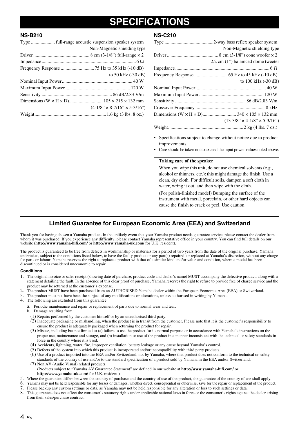## **SPECIFICATIONS**

#### **NS-B210**

|  | Non-Magnetic shielding type              |  |
|--|------------------------------------------|--|
|  |                                          |  |
|  |                                          |  |
|  |                                          |  |
|  | to 50 kHz (-30 dB)                       |  |
|  |                                          |  |
|  |                                          |  |
|  |                                          |  |
|  |                                          |  |
|  | $(4-1/8" \times 8-7/16" \times 5-3/16")$ |  |
|  |                                          |  |

#### **NS-C210**

| Non-Magnetic shielding type              |
|------------------------------------------|
|                                          |
| 2.2 cm (1") balamced dome tweeter        |
|                                          |
|                                          |
| to 100 kHz (-30 dB)                      |
|                                          |
|                                          |
|                                          |
|                                          |
|                                          |
| $(13-3/8" \times 4-1/8" \times 5-3/16")$ |
|                                          |
|                                          |

- Specifications subject to change without notice due to product improvements.
- Care should be taken not to exceed the input power values noted above.

#### **Taking care of the speaker**

When you wipe this unit, do not use chemical solvents (e.g., alcohol or thinners, etc.): this might damage the finish. Use a clean, dry cloth. For difficult soils, dampen a soft cloth in water, wring it out, and then wipe with the cloth.

(For polish-finished model) Bumping the surface of the instrument with metal, porcelain, or other hard objects can cause the finish to crack or peel. Use caution.

#### **Limited Guarantee for European Economic Area (EEA) and Switzerland**

Thank you for having chosen a Yamaha product. In the unlikely event that your Yamaha product needs guarantee service, please contact the dealer from whom it was purchased. If you experience any difficulty, please contact Yamaha representative office in your country. You can find full details on our website (**http://www.yamaha-hifi.com/** or **http://www.yamaha-uk.com/** for U.K. resident).

The product is guaranteed to be free from defects in workmanship or materials for a period of two years from the date of the original purchase. Yamaha undertakes, subject to the conditions listed below, to have the faulty product or any part(s) repaired, or replaced at Yamaha's discretion, without any charge for parts or labour. Yamaha reserves the right to replace a product with that of a similar kind and/or value and condition, where a model has been discontinued or is considered uneconomic to repair.

#### **Conditions**

- 1. The original invoice or sales receipt (showing date of purchase, product code and dealer's name) MUST accompany the defective product, along with a statement detailing the fault. In the absence of this clear proof of purchase, Yamaha reserves the right to refuse to provide free of charge service and the product may be returned at the customer's expense.
- 2. The product MUST have been purchased from an AUTHORISED Yamaha dealer within the European Economic Area (EEA) or Switzerland.
- 3. The product must not have been the subject of any modifications or alterations, unless authorised in writing by Yamaha.
- 4. The following are excluded from this guarantee:
	- a. Periodic maintenance and repair or replacement of parts due to normal wear and tear.
		- b. Damage resulting from:
			- (1) Repairs performed by the customer himself or by an unauthorised third party.
		- (2) Inadequate packaging or mishandling, when the product is in transit from the customer. Please note that it is the customer's responsibility to ensure the product is adequately packaged when returning the product for repair.
		- (3) Misuse, including but not limited to (a) failure to use the product for its normal purpose or in accordance with Yamaha's instructions on the proper use, maintenance and storage, and (b) installation or use of the product in a manner inconsistent with the technical or safety standards in force in the country where it is used.
		- (4) Accidents, lightning, water, fire, improper ventilation, battery leakage or any cause beyond Yamaha's control.
		- (5) Defects of the system into which this product is incorporated and/or incompatibility with third party products.
		- (6) Use of a product imported into the EEA and/or Switzerland, not by Yamaha, where that product does not conform to the technical or safety standards of the country of use and/or to the standard specification of a product sold by Yamaha in the EEA and/or Switzerland. (7) Non AV (Audio Visual) related products.
		- (Products subject to "Yamaha AV Guarantee Statement" are defined in our website at **http://www.yamaha-hifi.com/** or **http://www.yamaha-uk.com/** for U.K. resident.)
- 5. Where the guarantee differs between the country of purchase and the country of use of the product, the guarantee of the country of use shall apply.
- 6. Yamaha may not be held responsible for any losses or damages, whether direct, consequential or otherwise, save for the repair or replacement of the product.
- 7. Please backup any custom settings or data, as Yamaha may not be held responsible for any alteration or loss to such settings or data.
- 8. This guarantee does not affect the consumer's statutory rights under applicable national laws in force or the consumer's rights against the dealer arising from their sales/purchase contract.